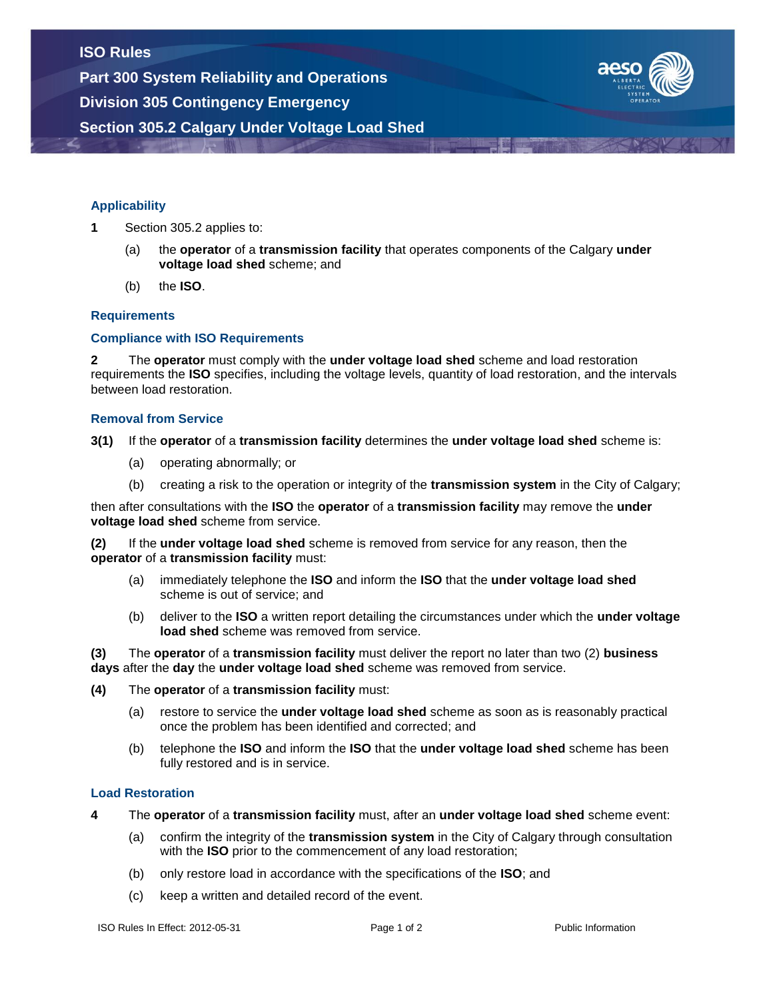

## **Applicability**

- **1** Section 305.2 applies to:
	- (a) the **operator** of a **transmission facility** that operates components of the Calgary **under voltage load shed** scheme; and
	- (b) the **ISO**.

## **Requirements**

## **Compliance with ISO Requirements**

**2** The **operator** must comply with the **under voltage load shed** scheme and load restoration requirements the **ISO** specifies, including the voltage levels, quantity of load restoration, and the intervals between load restoration.

#### **Removal from Service**

**3(1)** If the **operator** of a **transmission facility** determines the **under voltage load shed** scheme is:

- (a) operating abnormally; or
- (b) creating a risk to the operation or integrity of the **transmission system** in the City of Calgary;

then after consultations with the **ISO** the **operator** of a **transmission facility** may remove the **under voltage load shed** scheme from service.

**(2)** If the **under voltage load shed** scheme is removed from service for any reason, then the **operator** of a **transmission facility** must:

- (a) immediately telephone the **ISO** and inform the **ISO** that the **under voltage load shed** scheme is out of service; and
- (b) deliver to the **ISO** a written report detailing the circumstances under which the **under voltage load shed** scheme was removed from service.

**(3)** The **operator** of a **transmission facility** must deliver the report no later than two (2) **business days** after the **day** the **under voltage load shed** scheme was removed from service.

#### **(4)** The **operator** of a **transmission facility** must:

- (a) restore to service the **under voltage load shed** scheme as soon as is reasonably practical once the problem has been identified and corrected; and
- (b) telephone the **ISO** and inform the **ISO** that the **under voltage load shed** scheme has been fully restored and is in service.

#### **Load Restoration**

- **4** The **operator** of a **transmission facility** must, after an **under voltage load shed** scheme event:
	- (a) confirm the integrity of the **transmission system** in the City of Calgary through consultation with the **ISO** prior to the commencement of any load restoration;
	- (b) only restore load in accordance with the specifications of the **ISO**; and
	- (c) keep a written and detailed record of the event.